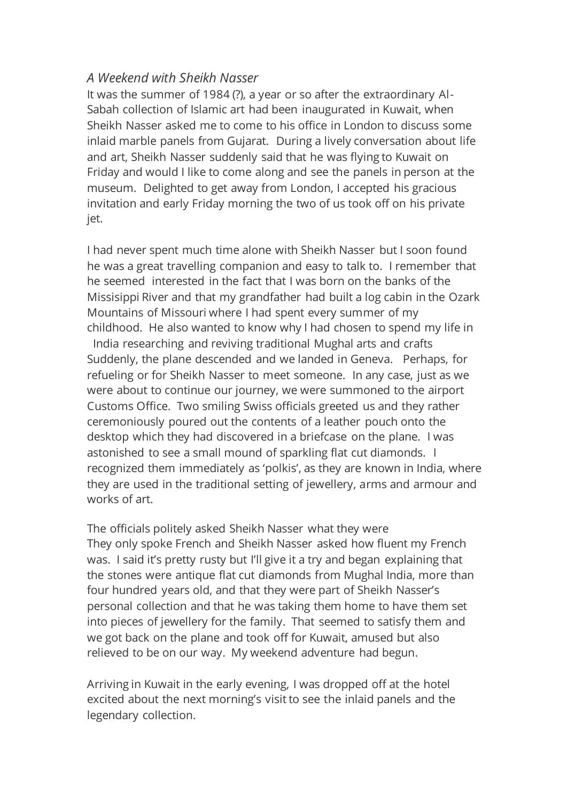## *A Weekend with Sheikh Nasser*

It was the summer of 1984 (?), a year or so after the extraordinary Al-Sabah collection of Islamic art had been inaugurated in Kuwait, when Sheikh Nasser asked me to come to his office in London to discuss some inlaid marble panels from Gujarat. During a lively conversation about life and art, Sheikh Nasser suddenly said that he was flying to Kuwait on Friday and would I like to come along and see the panels in person at the museum. Delighted to get away from London, I accepted his gracious invitation and early Friday morning the two of us took off on his private jet.

I had never spent much time alone with Sheikh Nasser but I soon found he was a great travelling companion and easy to talk to. I remember that he seemed interested in the fact that I was born on the banks of the Missisippi River and that my grandfather had built a log cabin in the Ozark Mountains of Missouri where I had spent every summer of my childhood. He also wanted to know why I had chosen to spend my life in

India researching and reviving traditional Mughal arts and crafts Suddenly, the plane descended and we landed in Geneva. Perhaps, for refueling or for Sheikh Nasser to meet someone. In any case, just as we were about to continue our journey, we were summoned to the airport Customs Office. Two smiling Swiss officials greeted us and they rather ceremoniously poured out the contents of a leather pouch onto the desktop which they had discovered in a briefcase on the plane. I was astonished to see a small mound of sparkling flat cut diamonds. I recognized them immediately as 'polkis', as they are known in India, where they are used in the traditional setting of jewellery, arms and armour and works of art.

The officials politely asked Sheikh Nasser what they were They only spoke French and Sheikh Nasser asked how fluent my French was. I said it's pretty rusty but I'll give it a try and began explaining that the stones were antique flat cut diamonds from Mughal India, more than four hundred years old, and that they were part of Sheikh Nasser's personal collection and that he was taking them home to have them set into pieces of jewellery for the family. That seemed to satisfy them and we got back on the plane and took off for Kuwait, amused but also relieved to be on our way. My weekend adventure had begun.

Arriving in Kuwait in the early evening, I was dropped off at the hotel excited about the next morning's visit to see the inlaid panels and the legendary collection.